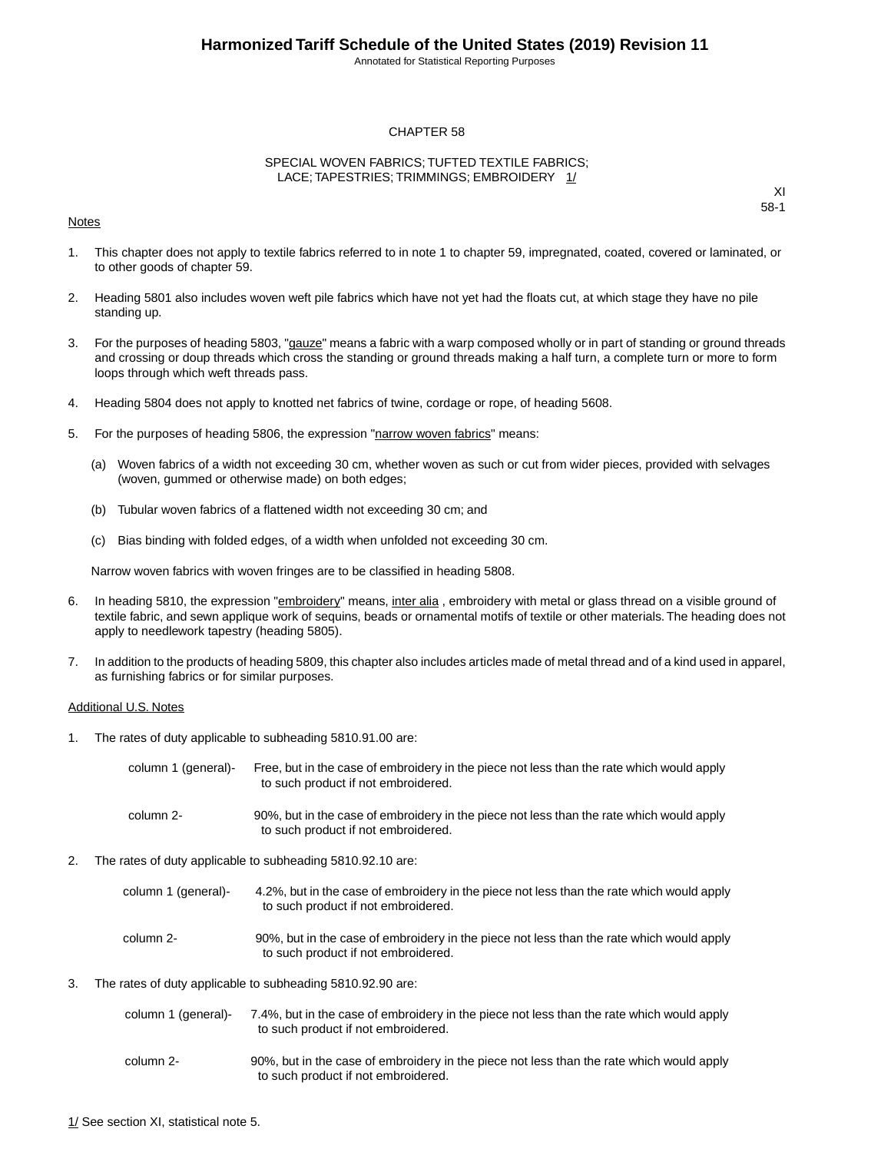Annotated for Statistical Reporting Purposes

#### CHAPTER 58

#### SPECIAL WOVEN FABRICS; TUFTED TEXTILE FABRICS; LACE; TAPESTRIES; TRIMMINGS; EMBROIDERY 1/

#### Notes

XI 58-1

- 1. This chapter does not apply to textile fabrics referred to in note 1 to chapter 59, impregnated, coated, covered or laminated, or to other goods of chapter 59.
- 2. Heading 5801 also includes woven weft pile fabrics which have not yet had the floats cut, at which stage they have no pile standing up.
- 3. For the purposes of heading 5803, "gauze" means a fabric with a warp composed wholly or in part of standing or ground threads and crossing or doup threads which cross the standing or ground threads making a half turn, a complete turn or more to form loops through which weft threads pass.
- 4. Heading 5804 does not apply to knotted net fabrics of twine, cordage or rope, of heading 5608.
- 5. For the purposes of heading 5806, the expression "narrow woven fabrics" means:
	- (a) Woven fabrics of a width not exceeding 30 cm, whether woven as such or cut from wider pieces, provided with selvages (woven, gummed or otherwise made) on both edges;
	- (b) Tubular woven fabrics of a flattened width not exceeding 30 cm; and
	- (c) Bias binding with folded edges, of a width when unfolded not exceeding 30 cm.

Narrow woven fabrics with woven fringes are to be classified in heading 5808.

- 6. In heading 5810, the expression "embroidery" means, inter alia, embroidery with metal or glass thread on a visible ground of textile fabric, and sewn applique work of sequins, beads or ornamental motifs of textile or other materials.The heading does not apply to needlework tapestry (heading 5805).
- 7. In addition to the products of heading 5809, this chapter also includes articles made of metal thread and of a kind used in apparel, as furnishing fabrics or for similar purposes.

#### Additional U.S. Notes

1. The rates of duty applicable to subheading 5810.91.00 are:

| column 1 (general)- | Free, but in the case of embroidery in the piece not less than the rate which would apply<br>to such product if not embroidered. |
|---------------------|----------------------------------------------------------------------------------------------------------------------------------|
| column 2-           | 90%, but in the case of embroidery in the piece not less than the rate which would apply<br>to such product if not embroidered.  |

- 2. The rates of duty applicable to subheading 5810.92.10 are:
	- 4.2%, but in the case of embroidery in the piece not less than the rate which would apply to such product if not embroidered. column 1 (general)- 90%, but in the case of embroidery in the piece not less than the rate which would apply to such product if not embroidered. column 2-
- 3. The rates of duty applicable to subheading 5810.92.90 are:

| column 1 (general)- | 7.4%, but in the case of embroidery in the piece not less than the rate which would apply |
|---------------------|-------------------------------------------------------------------------------------------|
|                     | to such product if not embroidered.                                                       |

90%, but in the case of embroidery in the piece not less than the rate which would apply to such product if not embroidered. column 2-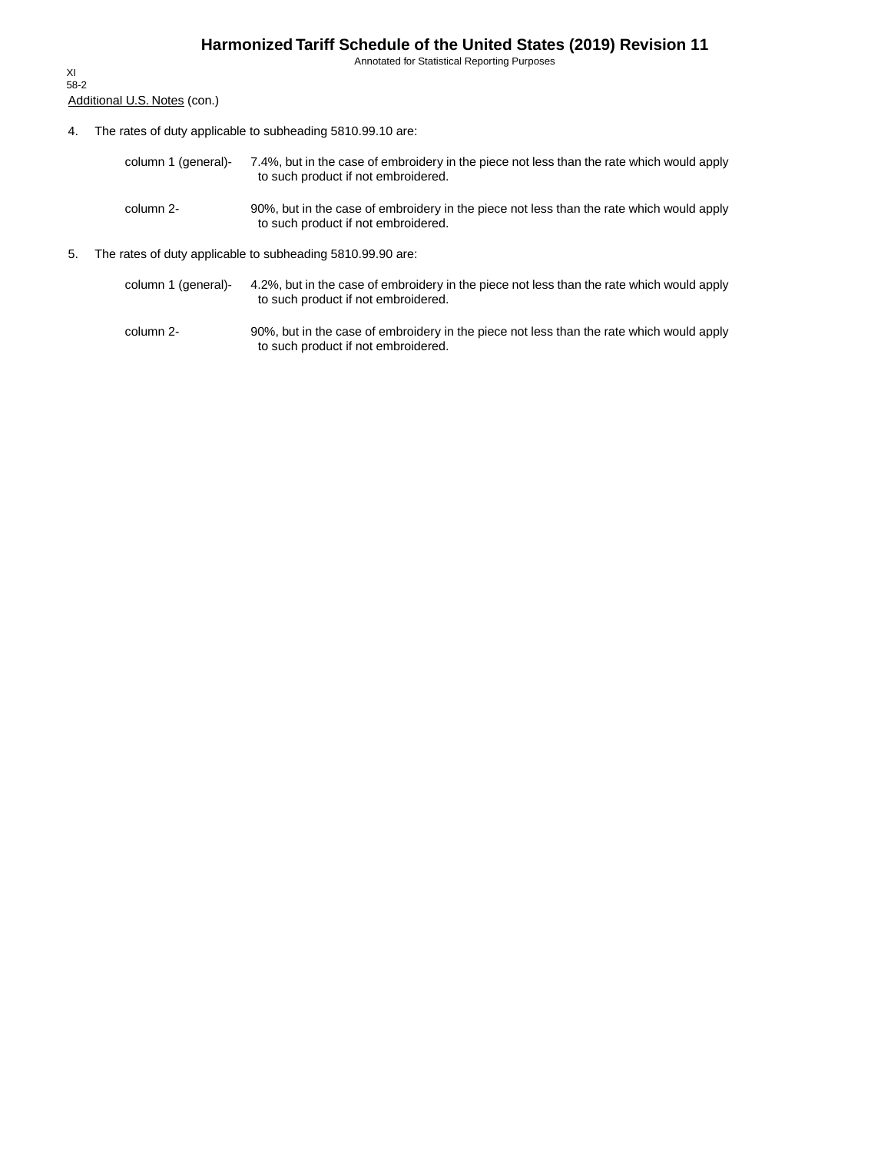Annotated for Statistical Reporting Purposes

Additional U.S. Notes (con.) XI 58-2

- 4. The rates of duty applicable to subheading 5810.99.10 are:
	- 7.4%, but in the case of embroidery in the piece not less than the rate which would apply to such product if not embroidered. column 1 (general)-
	- 90%, but in the case of embroidery in the piece not less than the rate which would apply to such product if not embroidered. column 2-
- 5. The rates of duty applicable to subheading 5810.99.90 are:
	- 4.2%, but in the case of embroidery in the piece not less than the rate which would apply to such product if not embroidered. column 1 (general)-
	- 90%, but in the case of embroidery in the piece not less than the rate which would apply to such product if not embroidered. column 2-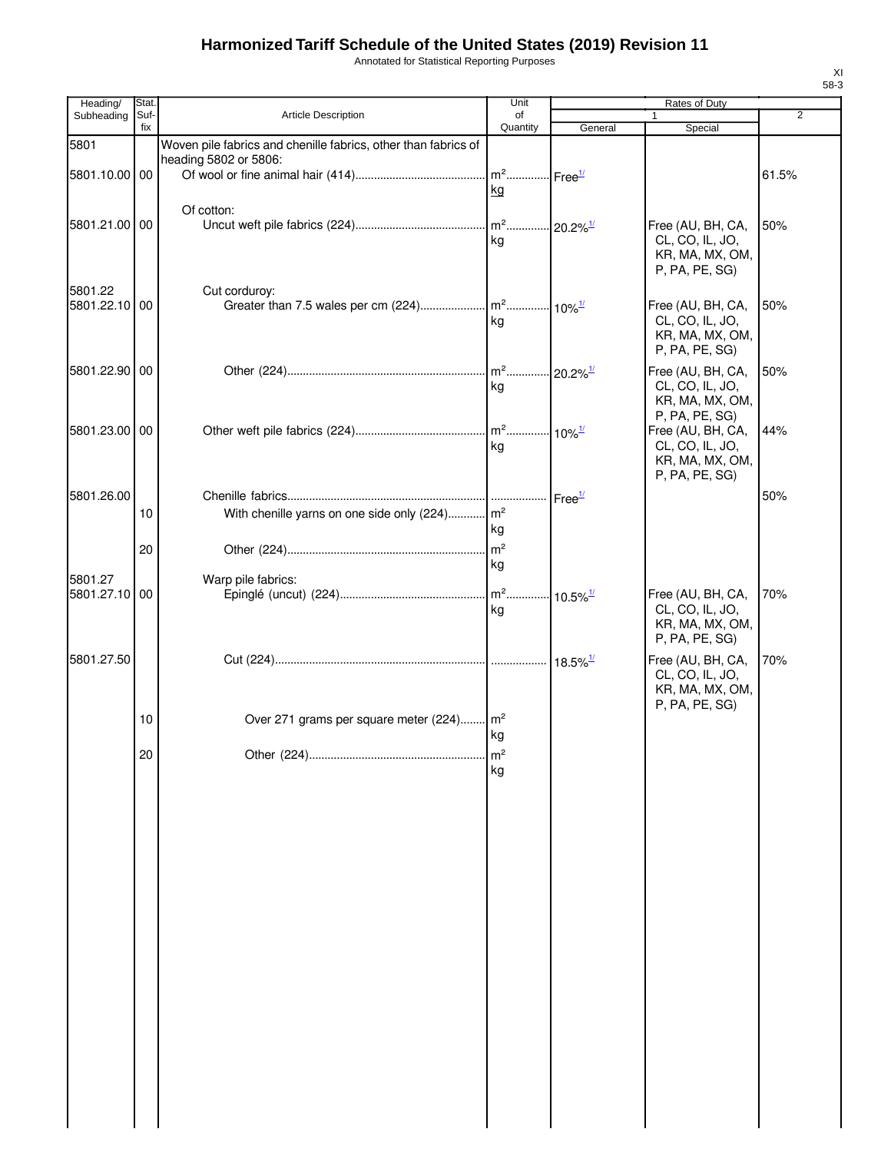Annotated for Statistical Reporting Purposes

| Heading/      | Stat.       |                                                                | Unit                               |         | <b>Rates of Duty</b>               |                |
|---------------|-------------|----------------------------------------------------------------|------------------------------------|---------|------------------------------------|----------------|
| Subheading    | Suf-<br>fix | <b>Article Description</b>                                     | of<br>Quantity                     | General | Special                            | $\overline{2}$ |
| 5801          |             | Woven pile fabrics and chenille fabrics, other than fabrics of |                                    |         |                                    |                |
|               |             | heading 5802 or 5806:                                          |                                    |         |                                    |                |
| 5801.10.00 00 |             |                                                                | m <sup>2</sup> Free <sup>1/</sup>  |         |                                    | 61.5%          |
|               |             |                                                                | kg                                 |         |                                    |                |
|               |             | Of cotton:                                                     |                                    |         |                                    |                |
| 5801.21.00 00 |             |                                                                |                                    |         | Free (AU, BH, CA,                  | 50%            |
|               |             |                                                                | kg                                 |         | CL, CO, IL, JO,<br>KR, MA, MX, OM, |                |
|               |             |                                                                |                                    |         | P, PA, PE, SG)                     |                |
| 5801.22       |             | Cut corduroy:                                                  |                                    |         |                                    |                |
| 5801.22.10    | 00          |                                                                |                                    |         | Free (AU, BH, CA,                  | 50%            |
|               |             |                                                                | kg                                 |         | CL, CO, IL, JO,                    |                |
|               |             |                                                                |                                    |         | KR, MA, MX, OM,                    |                |
|               |             |                                                                |                                    |         | P, PA, PE, SG)                     |                |
| 5801.22.90 00 |             |                                                                | m <sup>2</sup> 20.2% <sup>1/</sup> |         | Free (AU, BH, CA,                  | 50%            |
|               |             |                                                                | kg                                 |         | CL, CO, IL, JO,<br>KR, MA, MX, OM, |                |
|               |             |                                                                |                                    |         | P, PA, PE, SG)                     |                |
| 5801.23.00 00 |             |                                                                |                                    |         | Free (AU, BH, CA,                  | 44%            |
|               |             |                                                                | kg                                 |         | CL, CO, IL, JO,                    |                |
|               |             |                                                                |                                    |         | KR, MA, MX, OM,<br>P, PA, PE, SG)  |                |
|               |             |                                                                |                                    |         |                                    |                |
| 5801.26.00    |             |                                                                |                                    |         |                                    | 50%            |
|               | 10          | With chenille yarns on one side only (224) m <sup>2</sup>      | kg                                 |         |                                    |                |
|               | 20          |                                                                |                                    |         |                                    |                |
|               |             |                                                                | kg                                 |         |                                    |                |
| 5801.27       |             | Warp pile fabrics:                                             |                                    |         |                                    |                |
| 5801.27.10 00 |             |                                                                |                                    |         | Free (AU, BH, CA,                  | 70%            |
|               |             |                                                                | kg                                 |         | CL, CO, IL, JO,                    |                |
|               |             |                                                                |                                    |         | KR, MA, MX, OM,<br>P, PA, PE, SG)  |                |
| 5801.27.50    |             |                                                                |                                    |         | Free (AU, BH, CA,                  | 70%            |
|               |             |                                                                |                                    |         | CL, CO, IL, JO,                    |                |
|               |             |                                                                |                                    |         | KR, MA, MX, OM,                    |                |
|               |             |                                                                |                                    |         | P, PA, PE, SG)                     |                |
|               | 10          | Over 271 grams per square meter (224) m <sup>2</sup>           |                                    |         |                                    |                |
|               |             |                                                                | kg                                 |         |                                    |                |
|               | 20          |                                                                | m <sup>2</sup><br>kg               |         |                                    |                |
|               |             |                                                                |                                    |         |                                    |                |
|               |             |                                                                |                                    |         |                                    |                |
|               |             |                                                                |                                    |         |                                    |                |
|               |             |                                                                |                                    |         |                                    |                |
|               |             |                                                                |                                    |         |                                    |                |
|               |             |                                                                |                                    |         |                                    |                |
|               |             |                                                                |                                    |         |                                    |                |
|               |             |                                                                |                                    |         |                                    |                |
|               |             |                                                                |                                    |         |                                    |                |
|               |             |                                                                |                                    |         |                                    |                |
|               |             |                                                                |                                    |         |                                    |                |
|               |             |                                                                |                                    |         |                                    |                |
|               |             |                                                                |                                    |         |                                    |                |
|               |             |                                                                |                                    |         |                                    |                |
|               |             |                                                                |                                    |         |                                    |                |
|               |             |                                                                |                                    |         |                                    |                |
|               |             |                                                                |                                    |         |                                    |                |
|               |             |                                                                |                                    |         |                                    |                |
|               |             |                                                                |                                    |         |                                    |                |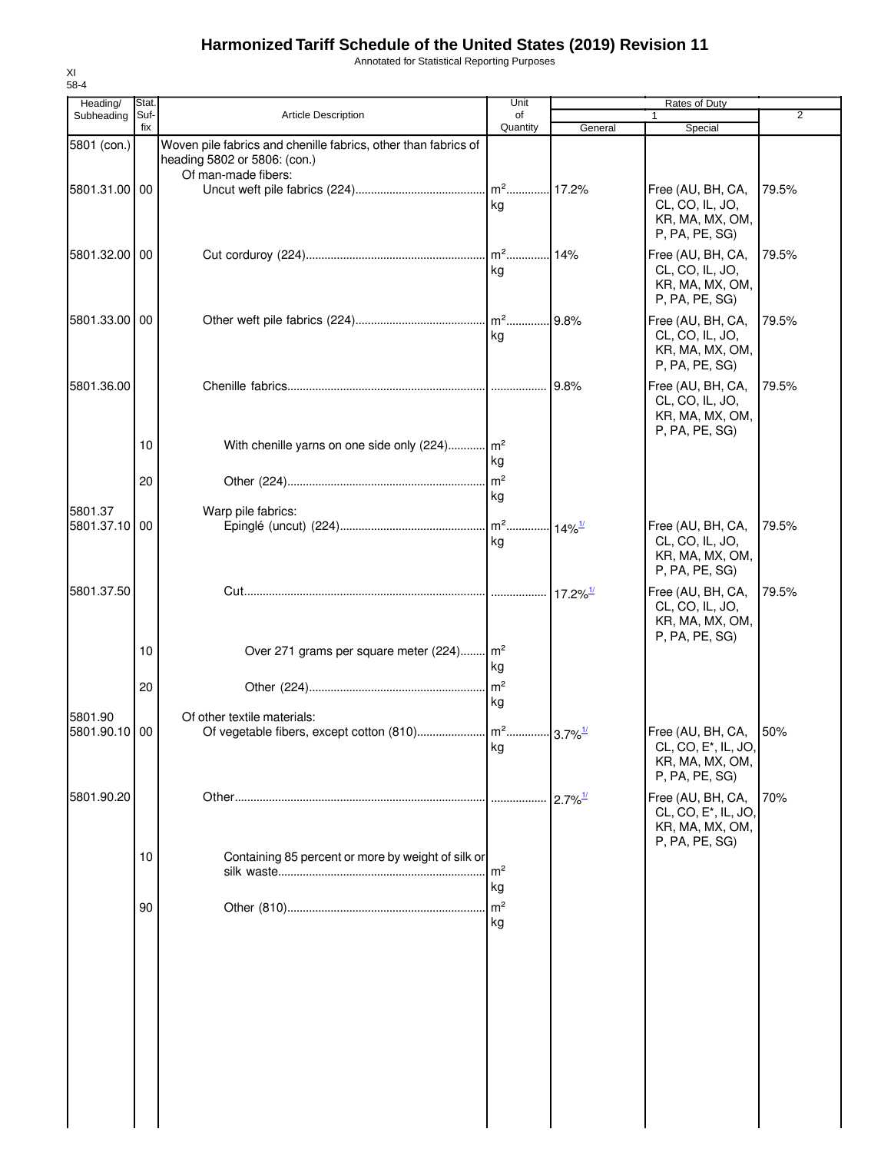Annotated for Statistical Reporting Purposes

| Heading/              | Stat.    |                                                                                                | Unit                                     |                        | Rates of Duty                                                                              |                |
|-----------------------|----------|------------------------------------------------------------------------------------------------|------------------------------------------|------------------------|--------------------------------------------------------------------------------------------|----------------|
| Subheading            | Suf-     | Article Description                                                                            | of                                       |                        | 1                                                                                          | $\overline{2}$ |
| 5801 (con.)           | fix      | Woven pile fabrics and chenille fabrics, other than fabrics of<br>heading 5802 or 5806: (con.) | Quantity                                 | General                | Special                                                                                    |                |
| 5801.31.00 00         |          | Of man-made fibers:                                                                            | kg                                       |                        | Free (AU, BH, CA,<br>CL, CO, IL, JO,<br>KR, MA, MX, OM,<br>P, PA, PE, SG)                  | 79.5%          |
| 5801.32.00 00         |          |                                                                                                | kg                                       |                        | Free (AU, BH, CA,<br>CL, CO, IL, JO,<br>KR, MA, MX, OM,<br>P, PA, PE, SG)                  | 79.5%          |
| 5801.33.00 00         |          |                                                                                                | kg                                       | .9.8%                  | Free (AU, BH, CA,<br>CL, CO, IL, JO,<br>KR, MA, MX, OM,<br>P, PA, PE, SG)                  | 79.5%          |
| 5801.36.00            |          |                                                                                                |                                          | .  9.8%                | Free (AU, BH, CA,<br>CL, CO, IL, JO,<br>KR, MA, MX, OM,<br>P, PA, PE, SG)                  | 79.5%          |
|                       | 10<br>20 | With chenille yarns on one side only (224) m <sup>2</sup>                                      | kg                                       |                        |                                                                                            |                |
| 5801.37<br>5801.37.10 | 00       | Warp pile fabrics:                                                                             | kg<br>. m <sup>2</sup> 14% <sup>1/</sup> |                        | Free (AU, BH, CA,                                                                          | 79.5%          |
|                       |          |                                                                                                | kg                                       |                        | CL, CO, IL, JO,<br>KR, MA, MX, OM,<br>P, PA, PE, SG)                                       |                |
| 5801.37.50            |          |                                                                                                |                                          | $17.2\%$ <sup>1/</sup> | Free (AU, BH, CA,<br>CL, CO, IL, JO,<br>KR, MA, MX, OM,<br>P, PA, PE, SG)                  | 79.5%          |
|                       | 10       | Over 271 grams per square meter (224) m <sup>2</sup>                                           | kg<br>m <sup>2</sup>                     |                        |                                                                                            |                |
| 5801.90               | 20       | Of other textile materials:                                                                    | kg                                       |                        |                                                                                            |                |
| 5801.90.10 00         |          |                                                                                                | kg                                       |                        | Free (AU, BH, CA,<br>CL, CO, E <sup>*</sup> , IL, JO,<br>KR, MA, MX, OM,<br>P, PA, PE, SG) | 50%            |
| 5801.90.20            |          |                                                                                                | .                                        | $2.7\%$ <sup>1/</sup>  | Free (AU, BH, CA,<br>CL, CO, E <sup>*</sup> , IL, JO,<br>KR, MA, MX, OM,<br>P, PA, PE, SG) | 70%            |
|                       | 10       | Containing 85 percent or more by weight of silk or                                             | m <sup>2</sup><br>kg                     |                        |                                                                                            |                |
|                       | 90       |                                                                                                | m <sup>2</sup><br>kg                     |                        |                                                                                            |                |
|                       |          |                                                                                                |                                          |                        |                                                                                            |                |
|                       |          |                                                                                                |                                          |                        |                                                                                            |                |
|                       |          |                                                                                                |                                          |                        |                                                                                            |                |
|                       |          |                                                                                                |                                          |                        |                                                                                            |                |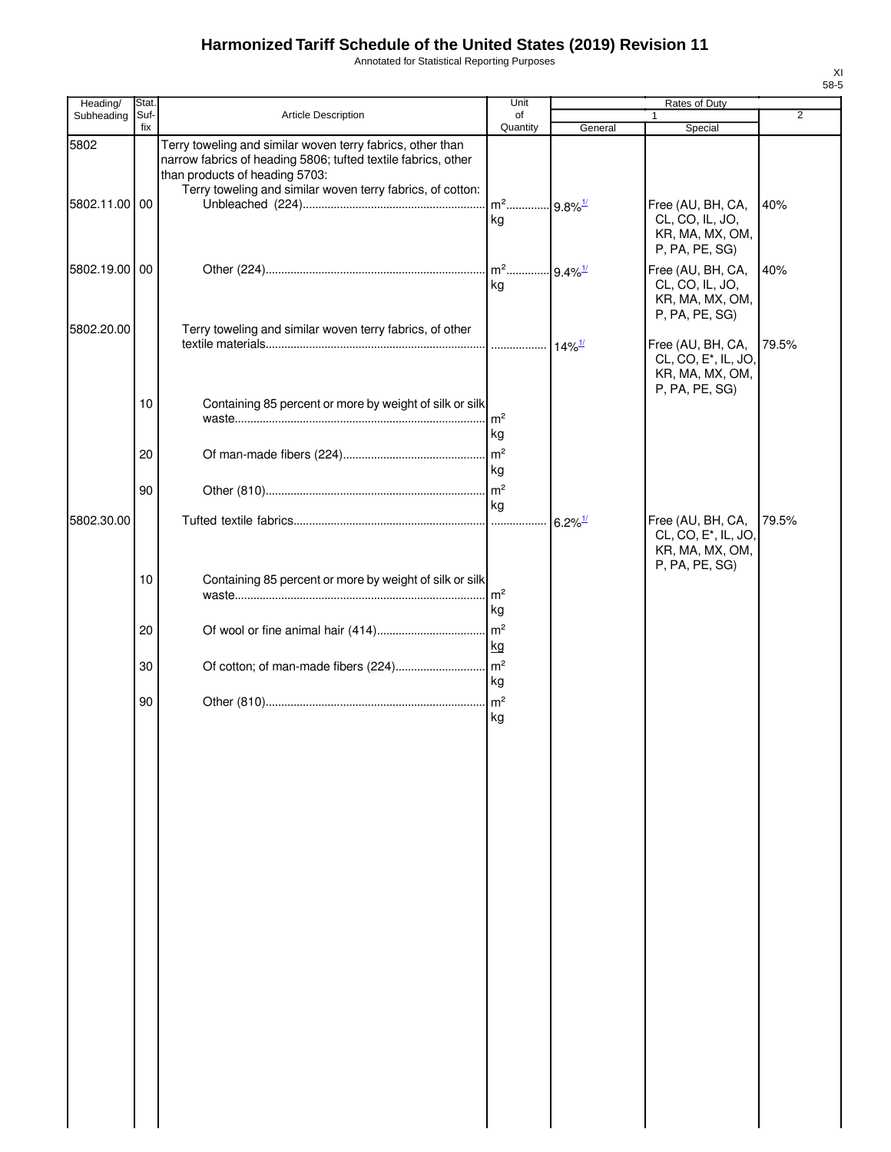Annotated for Statistical Reporting Purposes

| ۰,<br>×<br>٠<br>۰, |
|--------------------|

| Heading/              | Stat.       |                                                                                                                                                                                                                             | Unit                                    |                       | Rates of Duty                                                                              |                |
|-----------------------|-------------|-----------------------------------------------------------------------------------------------------------------------------------------------------------------------------------------------------------------------------|-----------------------------------------|-----------------------|--------------------------------------------------------------------------------------------|----------------|
| Subheading            | Suf-<br>fix | <b>Article Description</b>                                                                                                                                                                                                  | of<br>Quantity                          | General               | 1<br>Special                                                                               | $\overline{2}$ |
| 5802<br>5802.11.00 00 |             | Terry toweling and similar woven terry fabrics, other than<br>narrow fabrics of heading 5806; tufted textile fabrics, other<br>than products of heading 5703:<br>Terry toweling and similar woven terry fabrics, of cotton: | m <sup>2</sup> 9.8% <sup>1/</sup><br>kg |                       | Free (AU, BH, CA,<br>CL, CO, IL, JO,<br>KR, MA, MX, OM,<br>P, PA, PE, SG)                  | 40%            |
| 5802.19.00 00         |             |                                                                                                                                                                                                                             | ka                                      |                       | Free (AU, BH, CA,<br>CL, CO, IL, JO,<br>KR, MA, MX, OM,<br>P, PA, PE, SG)                  | 40%            |
| 5802.20.00            |             | Terry toweling and similar woven terry fabrics, of other                                                                                                                                                                    |                                         |                       | Free (AU, BH, CA,<br>CL, CO, E <sup>*</sup> , IL, JO,<br>KR, MA, MX, OM,<br>P, PA, PE, SG) | 79.5%          |
|                       | 10          | Containing 85 percent or more by weight of silk or silk                                                                                                                                                                     | $\mathsf{Im}^2$<br>kg                   |                       |                                                                                            |                |
|                       | 20<br>90    |                                                                                                                                                                                                                             | l kg                                    |                       |                                                                                            |                |
| 5802.30.00            |             |                                                                                                                                                                                                                             | kg                                      | $6.2\%$ <sup>1/</sup> | Free (AU, BH, CA,<br>CL, CO, E <sup>*</sup> , IL, JO,<br>KR, MA, MX, OM,                   | 79.5%          |
|                       | 10          | Containing 85 percent or more by weight of silk or silk                                                                                                                                                                     | Im <sup>2</sup><br>kg                   |                       | P, PA, PE, SG)                                                                             |                |
|                       | 20          |                                                                                                                                                                                                                             | $\mathsf{m}^2$<br>kg                    |                       |                                                                                            |                |
|                       | 30          | Of cotton; of man-made fibers (224)                                                                                                                                                                                         | m <sup>2</sup><br>kg                    |                       |                                                                                            |                |
|                       | 90          |                                                                                                                                                                                                                             | kg                                      |                       |                                                                                            |                |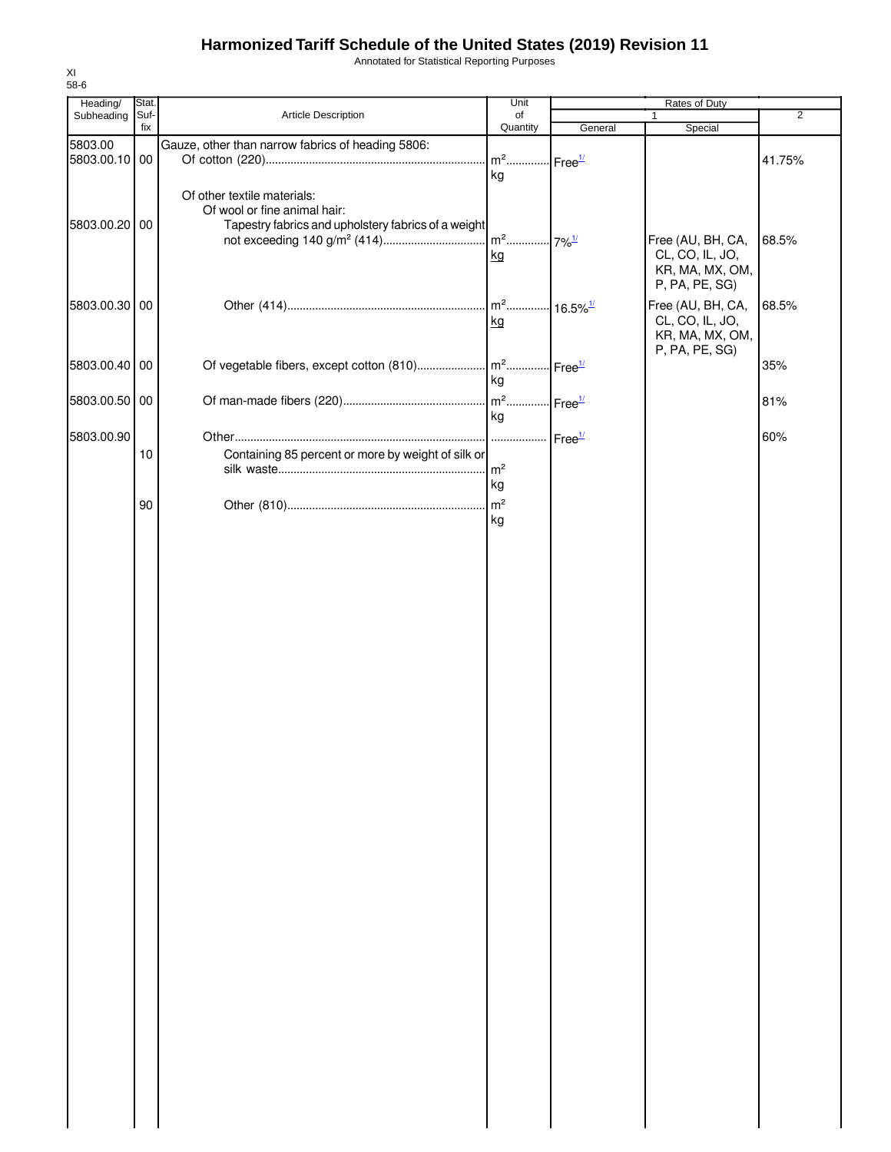Annotated for Statistical Reporting Purposes

| Heading/      | Stat. |                                                     | Unit                              | Rates of Duty           |                   |                |
|---------------|-------|-----------------------------------------------------|-----------------------------------|-------------------------|-------------------|----------------|
| Subheading    | Suf-  | Article Description                                 | of                                |                         | 1                 | $\overline{2}$ |
|               | fix   |                                                     | Quantity                          | General                 | Special           |                |
| 5803.00       |       | Gauze, other than narrow fabrics of heading 5806:   |                                   |                         |                   |                |
| 5803.00.10 00 |       |                                                     | m <sup>2</sup> Free <sup>1/</sup> |                         |                   | 41.75%         |
|               |       |                                                     | kg                                |                         |                   |                |
|               |       | Of other textile materials:                         |                                   |                         |                   |                |
|               |       | Of wool or fine animal hair:                        |                                   |                         |                   |                |
| 5803.00.20 00 |       | Tapestry fabrics and upholstery fabrics of a weight |                                   |                         |                   |                |
|               |       |                                                     |                                   |                         | Free (AU, BH, CA, | 68.5%          |
|               |       |                                                     | kg                                |                         | CL, CO, IL, JO,   |                |
|               |       |                                                     |                                   |                         | KR, MA, MX, OM,   |                |
|               |       |                                                     |                                   |                         | P, PA, PE, SG)    |                |
| 5803.00.30 00 |       |                                                     | m <sup>2</sup>                    | $-16.5\%$ <sup>1/</sup> | Free (AU, BH, CA, | 68.5%          |
|               |       |                                                     | kg                                |                         | CL, CO, IL, JO,   |                |
|               |       |                                                     |                                   |                         | KR, MA, MX, OM,   |                |
|               |       |                                                     |                                   |                         | P, PA, PE, SG)    |                |
| 5803.00.40 00 |       | Of vegetable fibers, except cotton (810)            | $\mathsf{m}^2$ .                  | Free <sup>1/</sup>      |                   | 35%            |
|               |       |                                                     | kg                                |                         |                   |                |
| 5803.00.50 00 |       |                                                     | m <sup>2</sup> Free <sup>1/</sup> |                         |                   | 81%            |
|               |       |                                                     | kg                                |                         |                   |                |
|               |       |                                                     |                                   |                         |                   |                |
| 5803.00.90    |       |                                                     | .                                 | Free <sup>1/</sup>      |                   | 60%            |
|               | 10    | Containing 85 percent or more by weight of silk or  |                                   |                         |                   |                |
|               |       |                                                     | m <sup>2</sup>                    |                         |                   |                |
|               |       |                                                     | kg                                |                         |                   |                |
|               | 90    |                                                     | m <sup>2</sup>                    |                         |                   |                |
|               |       |                                                     | kg                                |                         |                   |                |
|               |       |                                                     |                                   |                         |                   |                |
|               |       |                                                     |                                   |                         |                   |                |
|               |       |                                                     |                                   |                         |                   |                |
|               |       |                                                     |                                   |                         |                   |                |
|               |       |                                                     |                                   |                         |                   |                |
|               |       |                                                     |                                   |                         |                   |                |
|               |       |                                                     |                                   |                         |                   |                |
|               |       |                                                     |                                   |                         |                   |                |
|               |       |                                                     |                                   |                         |                   |                |
|               |       |                                                     |                                   |                         |                   |                |
|               |       |                                                     |                                   |                         |                   |                |
|               |       |                                                     |                                   |                         |                   |                |
|               |       |                                                     |                                   |                         |                   |                |
|               |       |                                                     |                                   |                         |                   |                |
|               |       |                                                     |                                   |                         |                   |                |
|               |       |                                                     |                                   |                         |                   |                |
|               |       |                                                     |                                   |                         |                   |                |
|               |       |                                                     |                                   |                         |                   |                |
|               |       |                                                     |                                   |                         |                   |                |
|               |       |                                                     |                                   |                         |                   |                |
|               |       |                                                     |                                   |                         |                   |                |
|               |       |                                                     |                                   |                         |                   |                |
|               |       |                                                     |                                   |                         |                   |                |
|               |       |                                                     |                                   |                         |                   |                |
|               |       |                                                     |                                   |                         |                   |                |
|               |       |                                                     |                                   |                         |                   |                |
|               |       |                                                     |                                   |                         |                   |                |
|               |       |                                                     |                                   |                         |                   |                |
|               |       |                                                     |                                   |                         |                   |                |
|               |       |                                                     |                                   |                         |                   |                |
|               |       |                                                     |                                   |                         |                   |                |
|               |       |                                                     |                                   |                         |                   |                |
|               |       |                                                     |                                   |                         |                   |                |
|               |       |                                                     |                                   |                         |                   |                |
|               |       |                                                     |                                   |                         |                   |                |
|               |       |                                                     |                                   |                         |                   |                |
|               |       |                                                     |                                   |                         |                   |                |
|               |       |                                                     |                                   |                         |                   |                |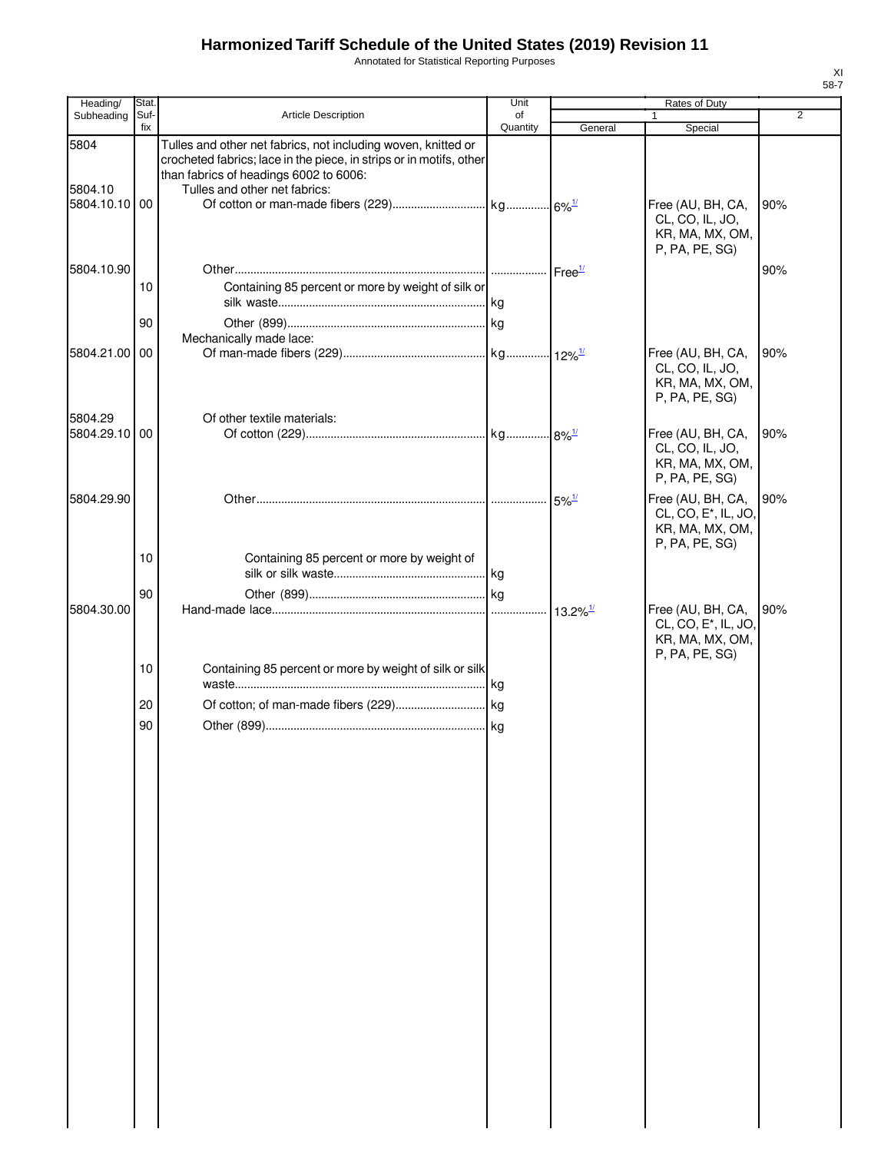Annotated for Statistical Reporting Purposes

| Heading/                      | Stat.       |                                                                                                                                                                                                                 | Unit           |                        | Rates of Duty                                                                              |                |
|-------------------------------|-------------|-----------------------------------------------------------------------------------------------------------------------------------------------------------------------------------------------------------------|----------------|------------------------|--------------------------------------------------------------------------------------------|----------------|
| Subheading                    | Suf-<br>fix | <b>Article Description</b>                                                                                                                                                                                      | of<br>Quantity | General                | $\mathbf{1}$<br>Special                                                                    | $\overline{2}$ |
| 5804<br>5804.10<br>5804.10.10 | 00          | Tulles and other net fabrics, not including woven, knitted or<br>crocheted fabrics; lace in the piece, in strips or in motifs, other<br>than fabrics of headings 6002 to 6006:<br>Tulles and other net fabrics: |                |                        | Free (AU, BH, CA,<br>CL, CO, IL, JO,<br>KR, MA, MX, OM,<br>P, PA, PE, SG)                  | 90%            |
| 5804.10.90                    | 10          | Containing 85 percent or more by weight of silk or                                                                                                                                                              |                |                        |                                                                                            | 90%            |
|                               | 90          |                                                                                                                                                                                                                 |                |                        |                                                                                            |                |
|                               |             | Mechanically made lace:                                                                                                                                                                                         |                |                        |                                                                                            |                |
| 5804.21.00                    | 00          |                                                                                                                                                                                                                 |                |                        | Free (AU, BH, CA,<br>CL, CO, IL, JO,<br>KR, MA, MX, OM,<br>P, PA, PE, SG)                  | 90%            |
| 5804.29<br>5804.29.10 00      |             | Of other textile materials:                                                                                                                                                                                     |                |                        | Free (AU, BH, CA,                                                                          | 90%            |
|                               |             |                                                                                                                                                                                                                 |                |                        | CL, CO, IL, JO,<br>KR, MA, MX, OM,<br>P, PA, PE, SG)                                       |                |
| 5804.29.90                    |             |                                                                                                                                                                                                                 |                |                        | Free (AU, BH, CA,<br>CL, CO, E <sup>*</sup> , IL, JO,<br>KR, MA, MX, OM,<br>P, PA, PE, SG) | 90%            |
|                               | 10          | Containing 85 percent or more by weight of                                                                                                                                                                      |                |                        |                                                                                            |                |
|                               | 90          |                                                                                                                                                                                                                 |                |                        |                                                                                            |                |
| 5804.30.00                    |             |                                                                                                                                                                                                                 |                | $13.2\%$ <sup>1/</sup> | Free (AU, BH, CA,<br>CL, CO, E*, IL, JO,<br>KR, MA, MX, OM,<br>P, PA, PE, SG)              | 90%            |
|                               | 10          | Containing 85 percent or more by weight of silk or silk                                                                                                                                                         |                |                        |                                                                                            |                |
|                               | 20          |                                                                                                                                                                                                                 |                |                        |                                                                                            |                |
|                               | 90          |                                                                                                                                                                                                                 |                |                        |                                                                                            |                |
|                               |             |                                                                                                                                                                                                                 |                |                        |                                                                                            |                |
|                               |             |                                                                                                                                                                                                                 |                |                        |                                                                                            |                |
|                               |             |                                                                                                                                                                                                                 |                |                        |                                                                                            |                |
|                               |             |                                                                                                                                                                                                                 |                |                        |                                                                                            |                |
|                               |             |                                                                                                                                                                                                                 |                |                        |                                                                                            |                |
|                               |             |                                                                                                                                                                                                                 |                |                        |                                                                                            |                |
|                               |             |                                                                                                                                                                                                                 |                |                        |                                                                                            |                |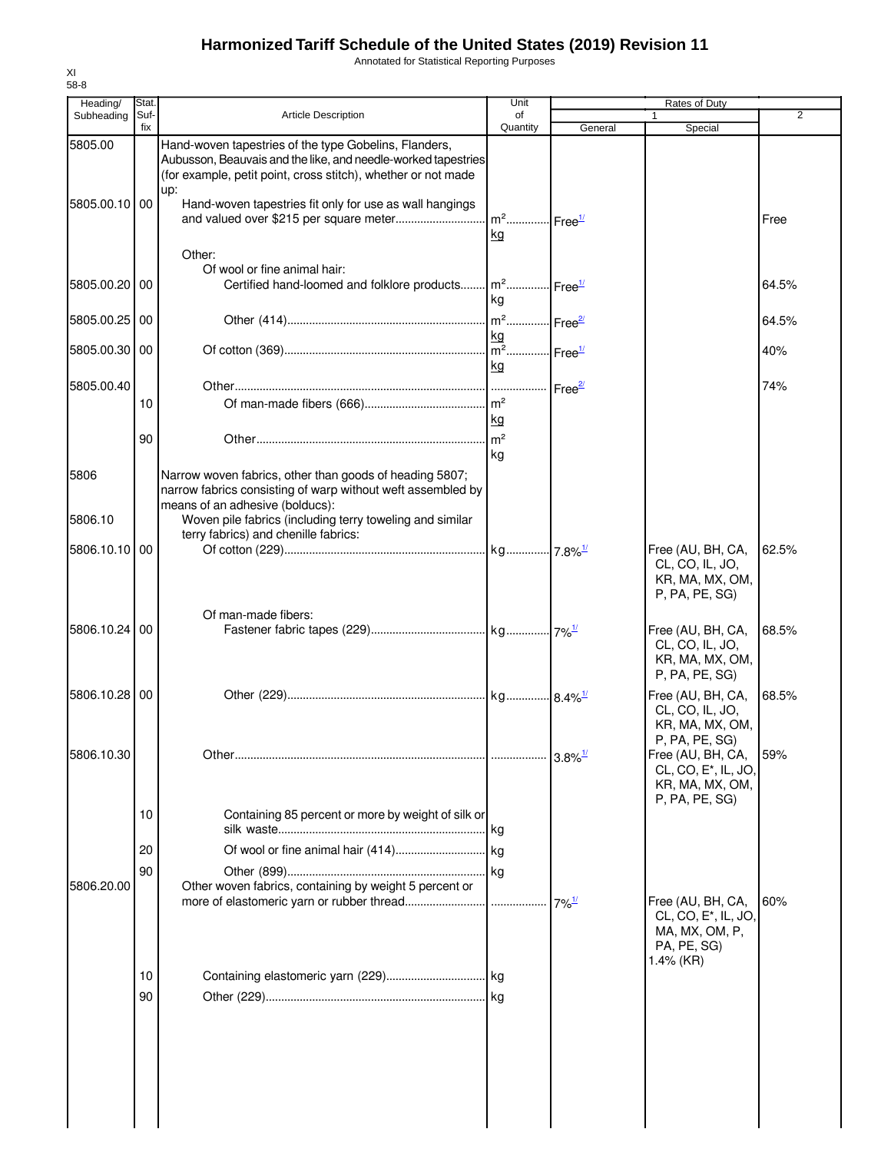Annotated for Statistical Reporting Purposes

| Heading/      | Stat.       |                                                                                                                                                                                                | Unit                                      |                                    | Rates of Duty                                                                                          |                |
|---------------|-------------|------------------------------------------------------------------------------------------------------------------------------------------------------------------------------------------------|-------------------------------------------|------------------------------------|--------------------------------------------------------------------------------------------------------|----------------|
| Subheading    | Suf-<br>fix | <b>Article Description</b>                                                                                                                                                                     | of<br>Quantity                            | General                            | Special                                                                                                | $\overline{2}$ |
| 5805.00       |             | Hand-woven tapestries of the type Gobelins, Flanders,<br>Aubusson, Beauvais and the like, and needle-worked tapestries<br>(for example, petit point, cross stitch), whether or not made<br>up: |                                           |                                    |                                                                                                        |                |
| 5805.00.10 00 |             | Hand-woven tapestries fit only for use as wall hangings                                                                                                                                        | $m^2$<br>kg                               | $\cdot$ - Free $\frac{1}{2}$       |                                                                                                        | Free           |
|               |             | Other:<br>Of wool or fine animal hair:                                                                                                                                                         |                                           |                                    |                                                                                                        |                |
| 5805.00.20 00 |             | Certified hand-loomed and folklore products                                                                                                                                                    | $m^2$<br>kg                               | $\cdot$ l Free $^{\underline{17}}$ |                                                                                                        | 64.5%          |
| 5805.00.25    | 00          |                                                                                                                                                                                                | $m2$<br>kg                                | . Free <sup>2/</sup>               |                                                                                                        | 64.5%          |
| 5805.00.30 00 |             |                                                                                                                                                                                                | $\overline{m^2}$ Free <sup>1/</sup><br>kg |                                    |                                                                                                        | 40%            |
| 5805.00.40    |             |                                                                                                                                                                                                |                                           | Free <sup>27</sup>                 |                                                                                                        | 74%            |
|               | 10          |                                                                                                                                                                                                |                                           |                                    |                                                                                                        |                |
|               |             |                                                                                                                                                                                                | kg                                        |                                    |                                                                                                        |                |
|               | 90          |                                                                                                                                                                                                | m <sup>2</sup>                            |                                    |                                                                                                        |                |
| 5806          |             | Narrow woven fabrics, other than goods of heading 5807;<br>narrow fabrics consisting of warp without weft assembled by                                                                         | kg                                        |                                    |                                                                                                        |                |
| 5806.10       |             | means of an adhesive (bolducs):<br>Woven pile fabrics (including terry toweling and similar<br>terry fabrics) and chenille fabrics:                                                            |                                           |                                    |                                                                                                        |                |
| 5806.10.10 00 |             |                                                                                                                                                                                                |                                           |                                    | Free (AU, BH, CA,<br>CL, CO, IL, JO,<br>KR, MA, MX, OM,<br>P, PA, PE, SG)                              | 62.5%          |
| 5806.10.24    | 00          | Of man-made fibers:                                                                                                                                                                            |                                           |                                    |                                                                                                        | 68.5%          |
|               |             |                                                                                                                                                                                                |                                           |                                    | Free (AU, BH, CA,<br>CL, CO, IL, JO,<br>KR, MA, MX, OM,<br>P, PA, PE, SG)                              |                |
| 5806.10.28    | l 00        |                                                                                                                                                                                                |                                           |                                    | Free (AU, BH, CA,<br>CL, CO, IL, JO,<br>KR, MA, MX, OM,<br>P, PA, PE, SG)                              | 68.5%          |
| 5806.10.30    |             |                                                                                                                                                                                                |                                           |                                    | Free (AU, BH, CA,<br>CL, CO, E*, IL, JO,<br>KR, MA, MX, OM,                                            | 59%            |
|               | 10          | Containing 85 percent or more by weight of silk or                                                                                                                                             | .lkg                                      |                                    | P, PA, PE, SG)                                                                                         |                |
|               | 20          |                                                                                                                                                                                                |                                           |                                    |                                                                                                        |                |
| 5806.20.00    | 90          | Other woven fabrics, containing by weight 5 percent or                                                                                                                                         |                                           |                                    |                                                                                                        |                |
|               |             |                                                                                                                                                                                                |                                           | $7\%$ <sup>1/</sup>                | Free (AU, BH, CA,<br>CL, CO, E <sup>*</sup> , IL, JO,<br>MA, MX, OM, P,<br>PA, PE, SG)<br>$1.4\%$ (KR) | 60%            |
|               | 10          |                                                                                                                                                                                                |                                           |                                    |                                                                                                        |                |
|               | 90          |                                                                                                                                                                                                |                                           |                                    |                                                                                                        |                |
|               |             |                                                                                                                                                                                                |                                           |                                    |                                                                                                        |                |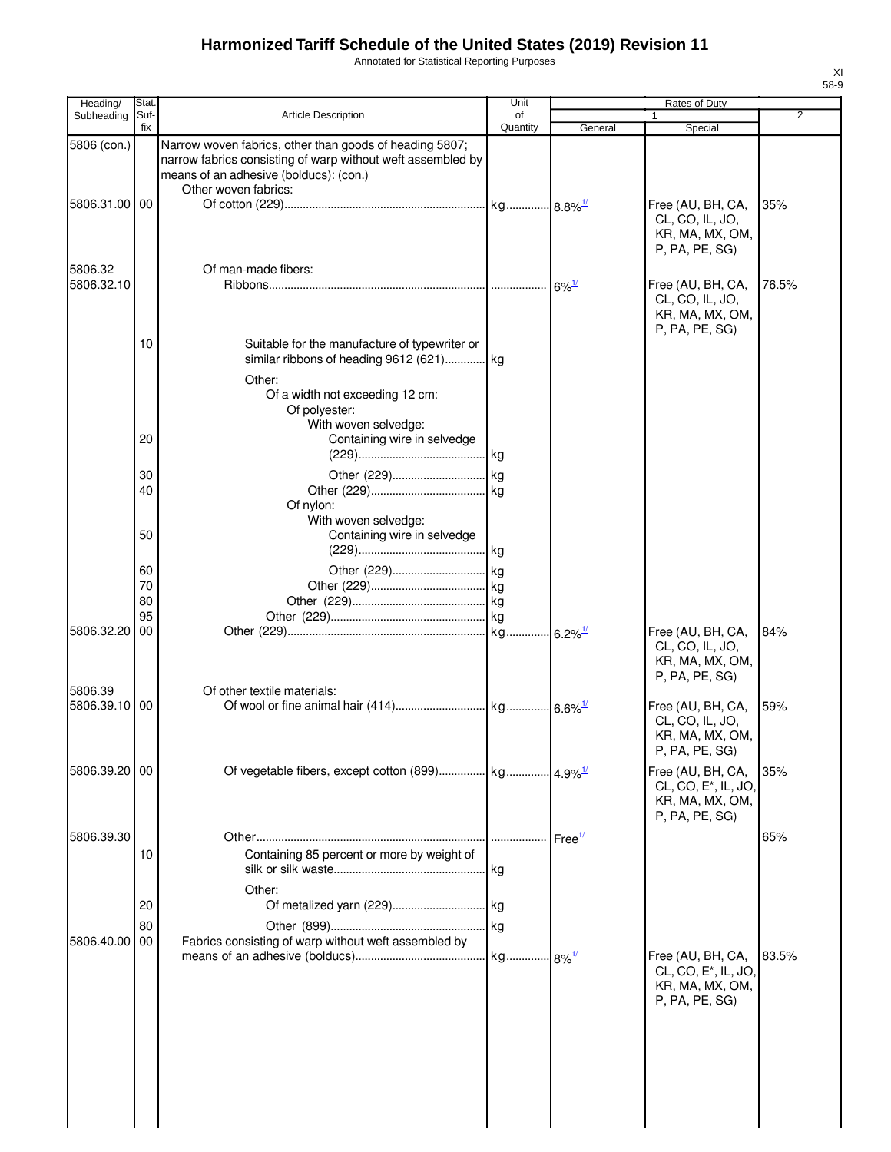Annotated for Statistical Reporting Purposes

| Heading/              | Stat.       |                                                                                                                                                                                          | Unit           |                     | Rates of Duty                                                                 |       |
|-----------------------|-------------|------------------------------------------------------------------------------------------------------------------------------------------------------------------------------------------|----------------|---------------------|-------------------------------------------------------------------------------|-------|
| Subheading            | Suf-<br>fix | <b>Article Description</b>                                                                                                                                                               | of<br>Quantity | General             | 1<br>Special                                                                  | 2     |
| 5806 (con.)           |             | Narrow woven fabrics, other than goods of heading 5807;<br>narrow fabrics consisting of warp without weft assembled by<br>means of an adhesive (bolducs): (con.)<br>Other woven fabrics: |                |                     |                                                                               |       |
| 5806.31.00 00         |             |                                                                                                                                                                                          |                |                     | Free (AU, BH, CA,<br>CL, CO, IL, JO,<br>KR, MA, MX, OM,<br>P, PA, PE, SG)     | 35%   |
| 5806.32<br>5806.32.10 |             | Of man-made fibers:                                                                                                                                                                      |                | $6\%$ <sup>1/</sup> | Free (AU, BH, CA,<br>CL, CO, IL, JO,<br>KR, MA, MX, OM,<br>P, PA, PE, SG)     | 76.5% |
|                       | 10          | Suitable for the manufacture of typewriter or<br>similar ribbons of heading 9612 (621) kg<br>Other:<br>Of a width not exceeding 12 cm:<br>Of polyester:<br>With woven selvedge:          |                |                     |                                                                               |       |
|                       | 20          | Containing wire in selvedge                                                                                                                                                              |                |                     |                                                                               |       |
|                       | 30<br>40    | Of nylon:<br>With woven selvedge:                                                                                                                                                        |                |                     |                                                                               |       |
|                       | 50          | Containing wire in selvedge                                                                                                                                                              |                |                     |                                                                               |       |
|                       | 60          |                                                                                                                                                                                          |                |                     |                                                                               |       |
|                       | 70          |                                                                                                                                                                                          |                |                     |                                                                               |       |
|                       | 80          |                                                                                                                                                                                          |                |                     |                                                                               |       |
|                       | 95          |                                                                                                                                                                                          |                |                     |                                                                               |       |
| 5806.32.20<br>5806.39 | 00          | Of other textile materials:                                                                                                                                                              |                |                     | Free (AU, BH, CA,<br>CL, CO, IL, JO,<br>KR, MA, MX, OM,<br>P, PA, PE, SG)     | 84%   |
| 5806.39.10            | 00          |                                                                                                                                                                                          |                |                     | Free (AU, BH, CA,<br>CL, CO, IL, JO,<br>KR, MA, MX, OM,<br>P, PA, PE, SG)     | 59%   |
| 5806.39.20 00         |             |                                                                                                                                                                                          |                |                     | Free (AU, BH, CA,<br>CL, CO, E*, IL, JO,<br>KR, MA, MX, OM,<br>P, PA, PE, SG) | 35%   |
| 5806.39.30            | 10          | Containing 85 percent or more by weight of<br>Other:                                                                                                                                     |                |                     |                                                                               | 65%   |
|                       | 20          |                                                                                                                                                                                          |                |                     |                                                                               |       |
|                       | 80          |                                                                                                                                                                                          |                |                     |                                                                               |       |
| 5806.40.00            | 00          | Fabrics consisting of warp without weft assembled by                                                                                                                                     |                |                     | Free (AU, BH, CA,                                                             | 83.5% |
|                       |             |                                                                                                                                                                                          |                |                     | CL, CO, E <sup>*</sup> , IL, JO,<br>KR, MA, MX, OM,<br>P, PA, PE, SG)         |       |
|                       |             |                                                                                                                                                                                          |                |                     |                                                                               |       |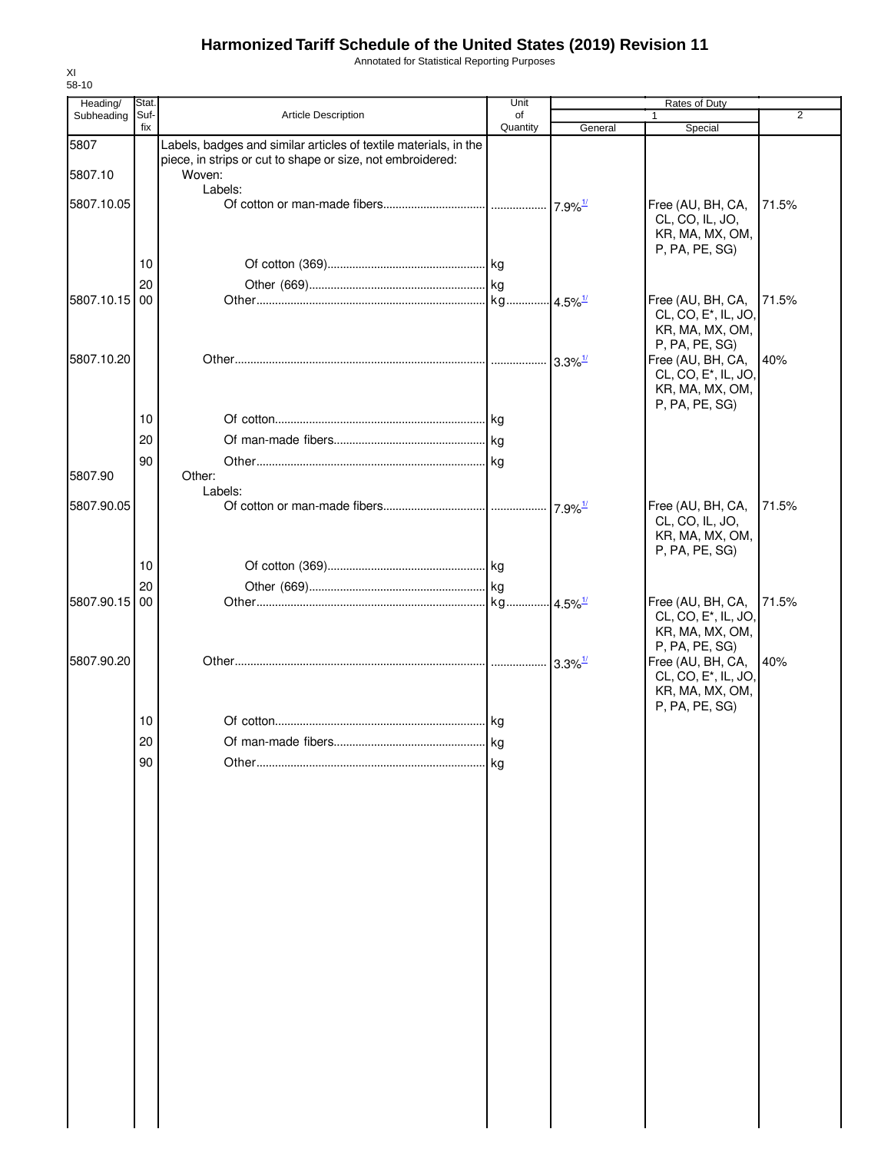Annotated for Statistical Reporting Purposes

| Heading/      | Stat.       |                                                                  | Unit           |                        | Rates of Duty                                       |                |
|---------------|-------------|------------------------------------------------------------------|----------------|------------------------|-----------------------------------------------------|----------------|
| Subheading    | Suf-<br>fix | <b>Article Description</b>                                       | of<br>Quantity | General                | 1<br>Special                                        | $\overline{2}$ |
| 5807          |             | Labels, badges and similar articles of textile materials, in the |                |                        |                                                     |                |
|               |             | piece, in strips or cut to shape or size, not embroidered:       |                |                        |                                                     |                |
| 5807.10       |             | Woven:<br>Labels:                                                |                |                        |                                                     |                |
| 5807.10.05    |             |                                                                  |                |                        | Free (AU, BH, CA,                                   | 71.5%          |
|               |             |                                                                  |                |                        | CL, CO, IL, JO,                                     |                |
|               |             |                                                                  |                |                        | KR, MA, MX, OM,                                     |                |
|               | 10          |                                                                  |                |                        | P, PA, PE, SG)                                      |                |
|               | 20          |                                                                  |                |                        |                                                     |                |
| 5807.10.15 00 |             |                                                                  |                |                        | Free (AU, BH, CA,                                   | 71.5%          |
|               |             |                                                                  |                |                        | CL, CO, E <sup>*</sup> , IL, JO,                    |                |
|               |             |                                                                  |                |                        | KR, MA, MX, OM,                                     |                |
| 5807.10.20    |             |                                                                  |                |                        | P, PA, PE, SG)<br>Free (AU, BH, CA,                 | 40%            |
|               |             |                                                                  |                |                        | CL, CO, E <sup>*</sup> , IL, JO,                    |                |
|               |             |                                                                  |                |                        | KR, MA, MX, OM,                                     |                |
|               | 10          |                                                                  |                |                        | P, PA, PE, SG)                                      |                |
|               |             |                                                                  |                |                        |                                                     |                |
|               | 20          |                                                                  |                |                        |                                                     |                |
| 5807.90       | 90          | Other:                                                           |                |                        |                                                     |                |
|               |             | Labels:                                                          |                |                        |                                                     |                |
| 5807.90.05    |             |                                                                  |                | $17.9\%$ <sup>1/</sup> | Free (AU, BH, CA,                                   | 71.5%          |
|               |             |                                                                  |                |                        | CL, CO, IL, JO,<br>KR, MA, MX, OM,                  |                |
|               |             |                                                                  |                |                        | P, PA, PE, SG)                                      |                |
|               | 10          |                                                                  |                |                        |                                                     |                |
|               | 20          |                                                                  |                |                        |                                                     |                |
| 5807.90.15    | 00          |                                                                  |                |                        | Free (AU, BH, CA,                                   | 71.5%          |
|               |             |                                                                  |                |                        | CL, CO, E <sup>*</sup> , IL, JO,<br>KR, MA, MX, OM, |                |
|               |             |                                                                  |                |                        | P, PA, PE, SG)                                      |                |
| 5807.90.20    |             |                                                                  |                | $3.3\%$ <sup>1/</sup>  | Free (AU, BH, CA,                                   | 40%            |
|               |             |                                                                  |                |                        | CL, CO, E <sup>*</sup> , IL, JO,<br>KR, MA, MX, OM, |                |
|               |             |                                                                  |                |                        | P, PA, PE, SG)                                      |                |
|               | 10          |                                                                  |                |                        |                                                     |                |
|               | 20          |                                                                  | kg             |                        |                                                     |                |
|               | 90          |                                                                  | kg             |                        |                                                     |                |
|               |             |                                                                  |                |                        |                                                     |                |
|               |             |                                                                  |                |                        |                                                     |                |
|               |             |                                                                  |                |                        |                                                     |                |
|               |             |                                                                  |                |                        |                                                     |                |
|               |             |                                                                  |                |                        |                                                     |                |
|               |             |                                                                  |                |                        |                                                     |                |
|               |             |                                                                  |                |                        |                                                     |                |
|               |             |                                                                  |                |                        |                                                     |                |
|               |             |                                                                  |                |                        |                                                     |                |
|               |             |                                                                  |                |                        |                                                     |                |
|               |             |                                                                  |                |                        |                                                     |                |
|               |             |                                                                  |                |                        |                                                     |                |
|               |             |                                                                  |                |                        |                                                     |                |
|               |             |                                                                  |                |                        |                                                     |                |
|               |             |                                                                  |                |                        |                                                     |                |
|               |             |                                                                  |                |                        |                                                     |                |
|               |             |                                                                  |                |                        |                                                     |                |
|               |             |                                                                  |                |                        |                                                     |                |
|               |             |                                                                  |                |                        |                                                     |                |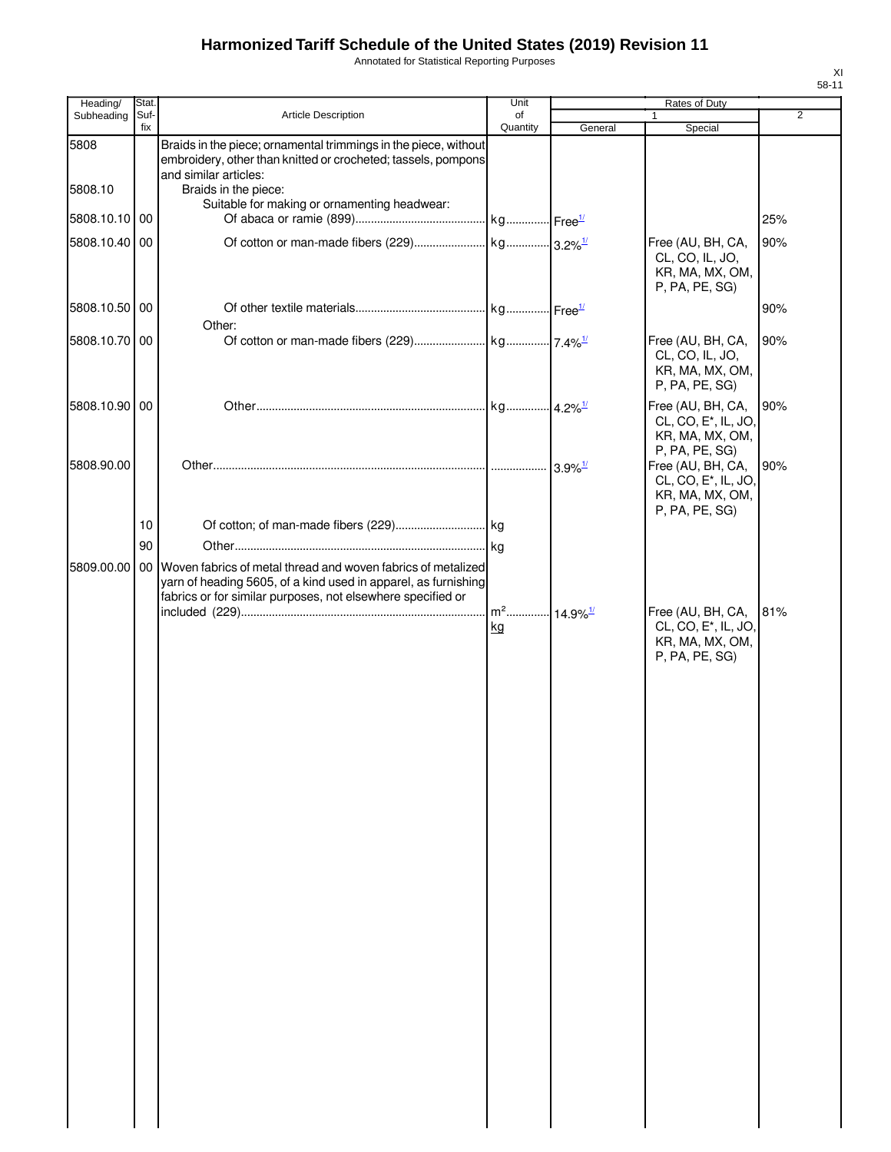Annotated for Statistical Reporting Purposes

| Heading/      | Stat.       |                                                                                                                                                                                                                 | Unit           |         | Rates of Duty                                                                              |                |
|---------------|-------------|-----------------------------------------------------------------------------------------------------------------------------------------------------------------------------------------------------------------|----------------|---------|--------------------------------------------------------------------------------------------|----------------|
| Subheading    | Suf-<br>fix | <b>Article Description</b>                                                                                                                                                                                      | οf<br>Quantity | General | 1<br>Special                                                                               | $\overline{2}$ |
| 5808          |             | Braids in the piece; ornamental trimmings in the piece, without<br>embroidery, other than knitted or crocheted; tassels, pompons<br>and similar articles:                                                       |                |         |                                                                                            |                |
| 5808.10       |             | Braids in the piece:<br>Suitable for making or ornamenting headwear:                                                                                                                                            |                |         |                                                                                            |                |
| 5808.10.10 00 |             |                                                                                                                                                                                                                 |                |         |                                                                                            | 25%            |
| 5808.10.40 00 |             |                                                                                                                                                                                                                 |                |         | Free (AU, BH, CA,<br>CL, CO, IL, JO,<br>KR, MA, MX, OM,<br>P, PA, PE, SG)                  | 90%            |
| 5808.10.50 00 |             | Other:                                                                                                                                                                                                          |                |         |                                                                                            | 90%            |
| 5808.10.70 00 |             |                                                                                                                                                                                                                 |                |         | Free (AU, BH, CA,<br>CL, CO, IL, JO,<br>KR, MA, MX, OM,<br>P, PA, PE, SG)                  | 90%            |
| 5808.10.90 00 |             |                                                                                                                                                                                                                 |                |         | Free (AU, BH, CA,<br>CL, CO, E <sup>*</sup> , IL, JO,<br>KR, MA, MX, OM,<br>P, PA, PE, SG) | 90%            |
| 5808.90.00    |             |                                                                                                                                                                                                                 |                |         | Free (AU, BH, CA,<br>CL, CO, E <sup>*</sup> , IL, JO,<br>KR, MA, MX, OM,<br>P, PA, PE, SG) | 90%            |
|               | 10          |                                                                                                                                                                                                                 |                |         |                                                                                            |                |
|               | 90          |                                                                                                                                                                                                                 |                |         |                                                                                            |                |
|               |             | 5809.00.00   00   Woven fabrics of metal thread and woven fabrics of metalized<br>yarn of heading 5605, of a kind used in apparel, as furnishing<br>fabrics or for similar purposes, not elsewhere specified or |                |         |                                                                                            |                |
|               |             |                                                                                                                                                                                                                 | kg             |         | Free (AU, BH, CA,<br>CL, CO, E*, IL, JO,<br>KR, MA, MX, OM,<br>P, PA, PE, SG)              | 81%            |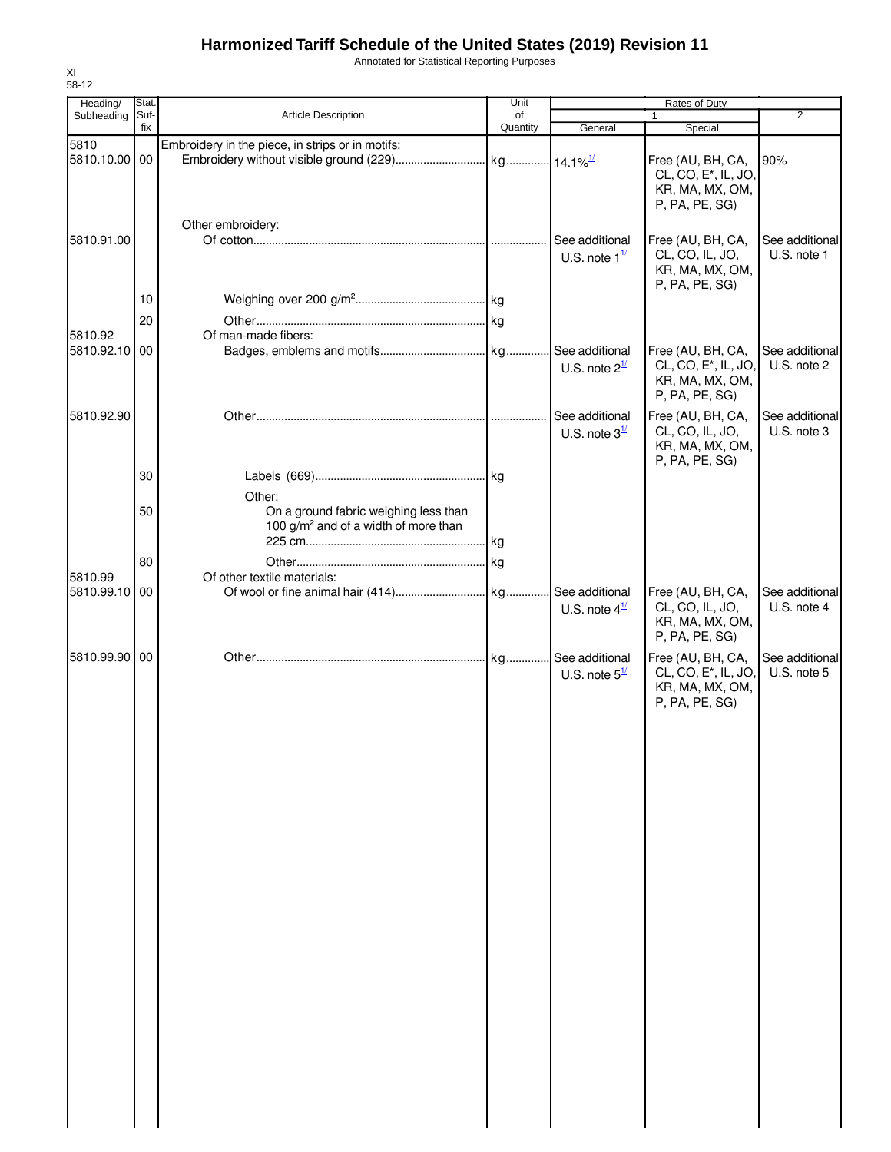Annotated for Statistical Reporting Purposes

| 58-12                  |               |                                                                                                     |            |                                               |                                                                                            |                               |
|------------------------|---------------|-----------------------------------------------------------------------------------------------------|------------|-----------------------------------------------|--------------------------------------------------------------------------------------------|-------------------------------|
| Heading/<br>Subheading | Stat.<br>Suf- | Article Description                                                                                 | Unit<br>of |                                               | Rates of Duty<br>1                                                                         | $\overline{2}$                |
|                        | fix           |                                                                                                     | Quantity   | General                                       | Special                                                                                    |                               |
| 5810<br>5810.10.00     | 00            | Embroidery in the piece, in strips or in motifs:                                                    |            |                                               | Free (AU, BH, CA,<br>CL, CO, E <sup>*</sup> , IL, JO,<br>KR, MA, MX, OM,                   | 90%                           |
| 5810.91.00             |               | Other embroidery:                                                                                   |            | See additional<br>U.S. note $1^{\frac{1}{2}}$ | P, PA, PE, SG)<br>Free (AU, BH, CA,<br>CL, CO, IL, JO,<br>KR, MA, MX, OM,                  | See additional<br>U.S. note 1 |
|                        | 10            |                                                                                                     |            |                                               | P, PA, PE, SG)                                                                             |                               |
|                        | 20            |                                                                                                     |            |                                               |                                                                                            |                               |
| 5810.92<br>5810.92.10  | 00            | Of man-made fibers:                                                                                 |            | U.S. note $2^{\frac{1}{2}}$                   | Free (AU, BH, CA,<br>CL, CO, E <sup>*</sup> , IL, JO,<br>KR, MA, MX, OM,<br>P, PA, PE, SG) | See additional<br>U.S. note 2 |
| 5810.92.90             |               |                                                                                                     |            | See additional<br>U.S. note $3^{\frac{1}{2}}$ | Free (AU, BH, CA,<br>CL, CO, IL, JO,<br>KR, MA, MX, OM,<br>P, PA, PE, SG)                  | See additional<br>U.S. note 3 |
|                        | 30            |                                                                                                     |            |                                               |                                                                                            |                               |
|                        | 50            | Other:<br>On a ground fabric weighing less than<br>100 g/m <sup>2</sup> and of a width of more than |            |                                               |                                                                                            |                               |
|                        |               |                                                                                                     |            |                                               |                                                                                            |                               |
|                        | 80            |                                                                                                     |            |                                               |                                                                                            |                               |
| 5810.99<br>5810.99.10  | 00            | Of other textile materials:                                                                         |            | U.S. note $4^{\frac{1}{2}}$                   | Free (AU, BH, CA,<br>CL, CO, IL, JO,<br>KR, MA, MX, OM,<br>P, PA, PE, SG)                  | See additional<br>U.S. note 4 |
| 5810.99.90             | 00            |                                                                                                     |            | U.S. note $5^{\frac{1}{2}}$                   | Free (AU, BH, CA,<br>CL, CO, E <sup>*</sup> , IL, JO,<br>KR, MA, MX, OM,<br>P, PA, PE, SG) | See additional<br>U.S. note 5 |
|                        |               |                                                                                                     |            |                                               |                                                                                            |                               |
|                        |               |                                                                                                     |            |                                               |                                                                                            |                               |
|                        |               |                                                                                                     |            |                                               |                                                                                            |                               |
|                        |               |                                                                                                     |            |                                               |                                                                                            |                               |
|                        |               |                                                                                                     |            |                                               |                                                                                            |                               |
|                        |               |                                                                                                     |            |                                               |                                                                                            |                               |
|                        |               |                                                                                                     |            |                                               |                                                                                            |                               |

XI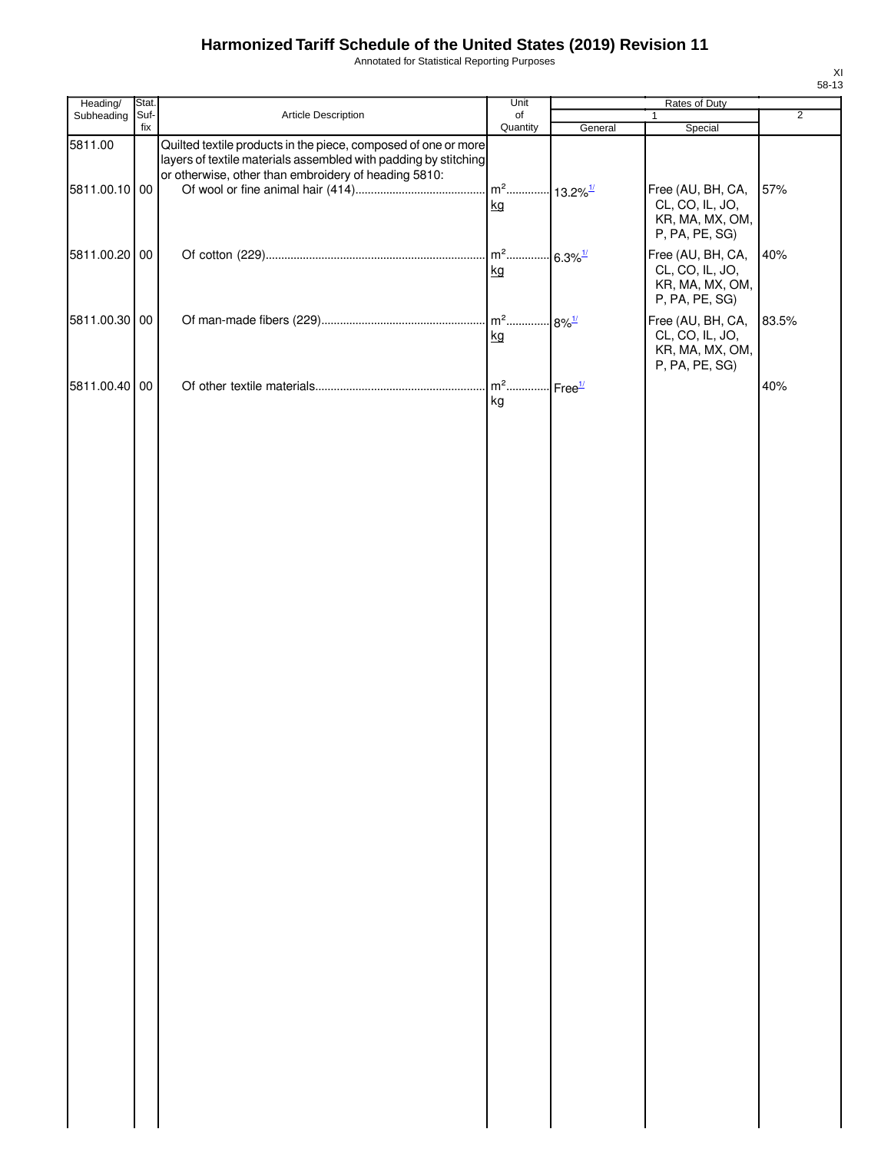Annotated for Statistical Reporting Purposes

| Heading/      | Stat.       |                                                                                                                                                                                           | Unit                                     |                       |                                                                           |                |
|---------------|-------------|-------------------------------------------------------------------------------------------------------------------------------------------------------------------------------------------|------------------------------------------|-----------------------|---------------------------------------------------------------------------|----------------|
| Subheading    | Suf-<br>fix | Article Description                                                                                                                                                                       | of<br>Quantity                           | General               | $\mathbf{1}$<br>Special                                                   | $\overline{2}$ |
| 5811.00       |             | Quilted textile products in the piece, composed of one or more<br>layers of textile materials assembled with padding by stitching<br>or otherwise, other than embroidery of heading 5810: |                                          |                       |                                                                           |                |
| 5811.00.10 00 |             |                                                                                                                                                                                           | m <sup>2</sup> 13.2% <sup>1/</sup><br>kg |                       | Free (AU, BH, CA,<br>CL, CO, IL, JO,<br>KR, MA, MX, OM,<br>P, PA, PE, SG) | 57%            |
| 5811.00.20 00 |             |                                                                                                                                                                                           | kg                                       | $6.3\%$ <sup>1/</sup> | Free (AU, BH, CA,<br>CL, CO, IL, JO,<br>KR, MA, MX, OM,<br>P, PA, PE, SG) | 40%            |
| 5811.00.30 00 |             |                                                                                                                                                                                           | kg                                       |                       | Free (AU, BH, CA,<br>CL, CO, IL, JO,<br>KR, MA, MX, OM,<br>P, PA, PE, SG) | 83.5%          |
| 5811.00.40 00 |             |                                                                                                                                                                                           | kg                                       |                       |                                                                           | 40%            |
|               |             |                                                                                                                                                                                           |                                          |                       |                                                                           |                |